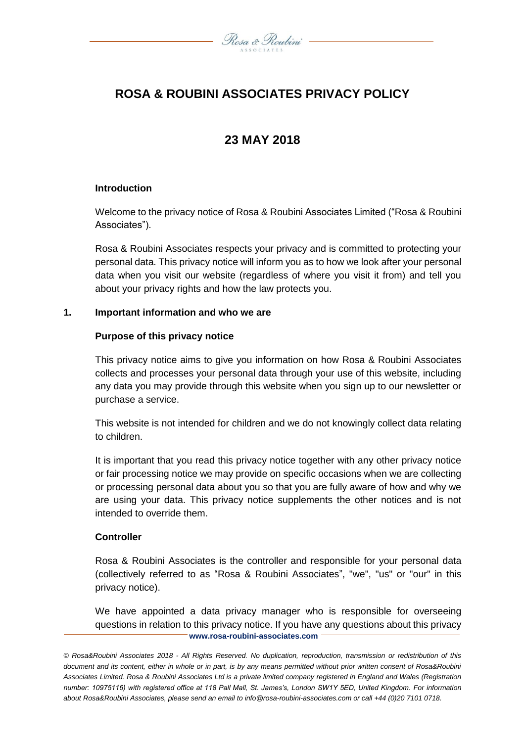

# **ROSA & ROUBINI ASSOCIATES PRIVACY POLICY**

# **23 MAY 2018**

# **Introduction**

Welcome to the privacy notice of Rosa & Roubini Associates Limited ("Rosa & Roubini Associates").

Rosa & Roubini Associates respects your privacy and is committed to protecting your personal data. This privacy notice will inform you as to how we look after your personal data when you visit our website (regardless of where you visit it from) and tell you about your privacy rights and how the law protects you.

# **1. Important information and who we are**

# **Purpose of this privacy notice**

This privacy notice aims to give you information on how Rosa & Roubini Associates collects and processes your personal data through your use of this website, including any data you may provide through this website when you sign up to our newsletter or purchase a service.

This website is not intended for children and we do not knowingly collect data relating to children.

It is important that you read this privacy notice together with any other privacy notice or fair processing notice we may provide on specific occasions when we are collecting or processing personal data about you so that you are fully aware of how and why we are using your data. This privacy notice supplements the other notices and is not intended to override them.

# **Controller**

Rosa & Roubini Associates is the controller and responsible for your personal data (collectively referred to as "Rosa & Roubini Associates", "we", "us" or "our" in this privacy notice).

 **www.rosa-roubini-associates.com** We have appointed a data privacy manager who is responsible for overseeing questions in relation to this privacy notice. If you have any questions about this privacy

*<sup>©</sup> Rosa&Roubini Associates 2018 - All Rights Reserved. No duplication, reproduction, transmission or redistribution of this document and its content, either in whole or in part, is by any means permitted without prior written consent of Rosa&Roubini Associates Limited. Rosa & Roubini Associates Ltd is a private limited company registered in England and Wales (Registration number: 10975116) with registered office at 118 Pall Mall, St. James's, London SW1Y 5ED, United Kingdom. For information about Rosa&Roubini Associates, please send an email to info@rosa-roubini-associates.com or call +44 (0)20 7101 0718.*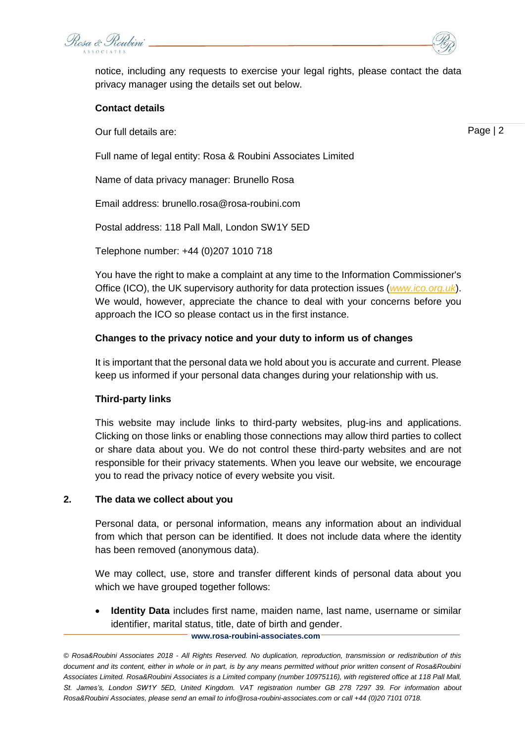Rosa & Roubini



notice, including any requests to exercise your legal rights, please contact the data privacy manager using the details set out below.

### **Contact details**

Our full details are:

Full name of legal entity: Rosa & Roubini Associates Limited

Name of data privacy manager: Brunello Rosa

Email address: brunello.rosa@rosa-roubini.com

Postal address: 118 Pall Mall, London SW1Y 5ED

Telephone number: +44 (0)207 1010 718

You have the right to make a complaint at any time to the Information Commissioner's Office (ICO), the UK supervisory authority for data protection issues (*www.ico.org.uk*). We would, however, appreciate the chance to deal with your concerns before you approach the ICO so please contact us in the first instance.

# **Changes to the privacy notice and your duty to inform us of changes**

It is important that the personal data we hold about you is accurate and current. Please keep us informed if your personal data changes during your relationship with us.

# **Third-party links**

This website may include links to third-party websites, plug-ins and applications. Clicking on those links or enabling those connections may allow third parties to collect or share data about you. We do not control these third-party websites and are not responsible for their privacy statements. When you leave our website, we encourage you to read the privacy notice of every website you visit.

# **2. The data we collect about you**

Personal data, or personal information, means any information about an individual from which that person can be identified. It does not include data where the identity has been removed (anonymous data).

We may collect, use, store and transfer different kinds of personal data about you which we have grouped together follows:

 **www.rosa-roubini-associates.com** • **Identity Data** includes first name, maiden name, last name, username or similar identifier, marital status, title, date of birth and gender.

Page | 2

*<sup>©</sup> Rosa&Roubini Associates 2018 - All Rights Reserved. No duplication, reproduction, transmission or redistribution of this document and its content, either in whole or in part, is by any means permitted without prior written consent of Rosa&Roubini Associates Limited. Rosa&Roubini Associates is a Limited company (number 10975116), with registered office at 118 Pall Mall, St. James's, London SW1Y 5ED, United Kingdom. VAT registration number GB 278 7297 39. For information about Rosa&Roubini Associates, please send an email to info@rosa-roubini-associates.com or call +44 (0)20 7101 0718.*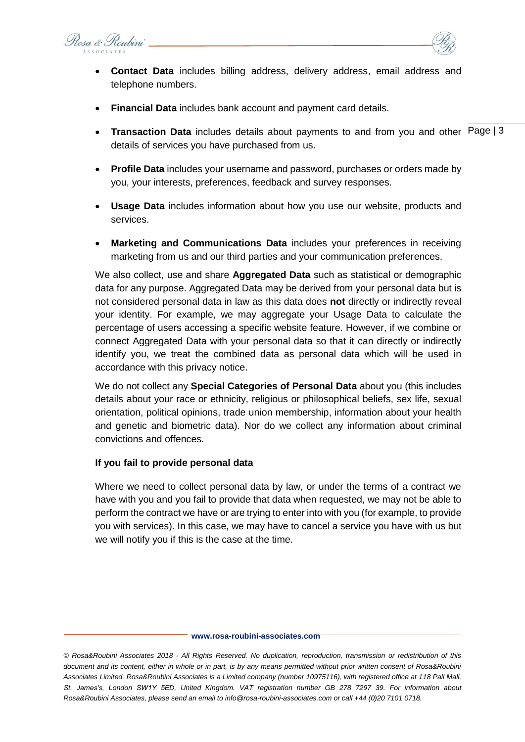Rosa & Roubini



- **Contact Data** includes billing address, delivery address, email address and telephone numbers.
- **Financial Data** includes bank account and payment card details.
- Transaction Data includes details about payments to and from you and other Page | 3 details of services you have purchased from us.
- **Profile Data** includes your username and password, purchases or orders made by you, your interests, preferences, feedback and survey responses.
- **Usage Data** includes information about how you use our website, products and services.
- **Marketing and Communications Data** includes your preferences in receiving marketing from us and our third parties and your communication preferences.

We also collect, use and share **Aggregated Data** such as statistical or demographic data for any purpose. Aggregated Data may be derived from your personal data but is not considered personal data in law as this data does **not** directly or indirectly reveal your identity. For example, we may aggregate your Usage Data to calculate the percentage of users accessing a specific website feature. However, if we combine or connect Aggregated Data with your personal data so that it can directly or indirectly identify you, we treat the combined data as personal data which will be used in accordance with this privacy notice.

We do not collect any **Special Categories of Personal Data** about you (this includes details about your race or ethnicity, religious or philosophical beliefs, sex life, sexual orientation, political opinions, trade union membership, information about your health and genetic and biometric data). Nor do we collect any information about criminal convictions and offences.

# **If you fail to provide personal data**

Where we need to collect personal data by law, or under the terms of a contract we have with you and you fail to provide that data when requested, we may not be able to perform the contract we have or are trying to enter into with you (for example, to provide you with services). In this case, we may have to cancel a service you have with us but we will notify you if this is the case at the time.

#### **www.rosa-roubini-associates.com**

*© Rosa&Roubini Associates 2018 - All Rights Reserved. No duplication, reproduction, transmission or redistribution of this document and its content, either in whole or in part, is by any means permitted without prior written consent of Rosa&Roubini Associates Limited. Rosa&Roubini Associates is a Limited company (number 10975116), with registered office at 118 Pall Mall, St. James's, London SW1Y 5ED, United Kingdom. VAT registration number GB 278 7297 39. For information about Rosa&Roubini Associates, please send an email to info@rosa-roubini-associates.com or call +44 (0)20 7101 0718.*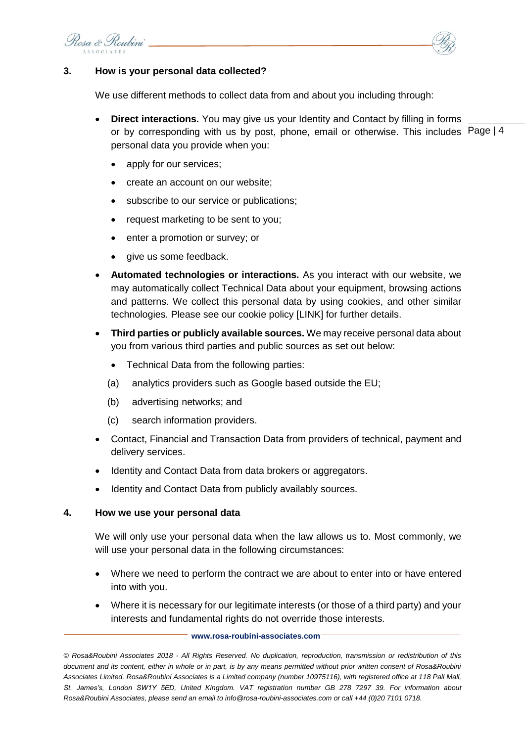Rosa & Roubini



### **3. How is your personal data collected?**

We use different methods to collect data from and about you including through:

- or by corresponding with us by post, phone, email or otherwise. This includes  $Page | 4$ • **Direct interactions.** You may give us your Identity and Contact by filling in forms personal data you provide when you:
	- apply for our services;
	- create an account on our website;
	- subscribe to our service or publications;
	- request marketing to be sent to you;
	- enter a promotion or survey; or
	- give us some feedback.
- **Automated technologies or interactions.** As you interact with our website, we may automatically collect Technical Data about your equipment, browsing actions and patterns. We collect this personal data by using cookies, and other similar technologies. Please see our cookie policy [LINK] for further details.
- **Third parties or publicly available sources.** We may receive personal data about you from various third parties and public sources as set out below:
	- Technical Data from the following parties:
	- (a) analytics providers such as Google based outside the EU;
	- (b) advertising networks; and
	- (c) search information providers.
- Contact, Financial and Transaction Data from providers of technical, payment and delivery services.
- Identity and Contact Data from data brokers or aggregators.
- Identity and Contact Data from publicly availably sources.

#### **4. How we use your personal data**

We will only use your personal data when the law allows us to. Most commonly, we will use your personal data in the following circumstances:

- Where we need to perform the contract we are about to enter into or have entered into with you.
- Where it is necessary for our legitimate interests (or those of a third party) and your interests and fundamental rights do not override those interests.

*<sup>©</sup> Rosa&Roubini Associates 2018 - All Rights Reserved. No duplication, reproduction, transmission or redistribution of this document and its content, either in whole or in part, is by any means permitted without prior written consent of Rosa&Roubini Associates Limited. Rosa&Roubini Associates is a Limited company (number 10975116), with registered office at 118 Pall Mall, St. James's, London SW1Y 5ED, United Kingdom. VAT registration number GB 278 7297 39. For information about Rosa&Roubini Associates, please send an email to info@rosa-roubini-associates.com or call +44 (0)20 7101 0718.*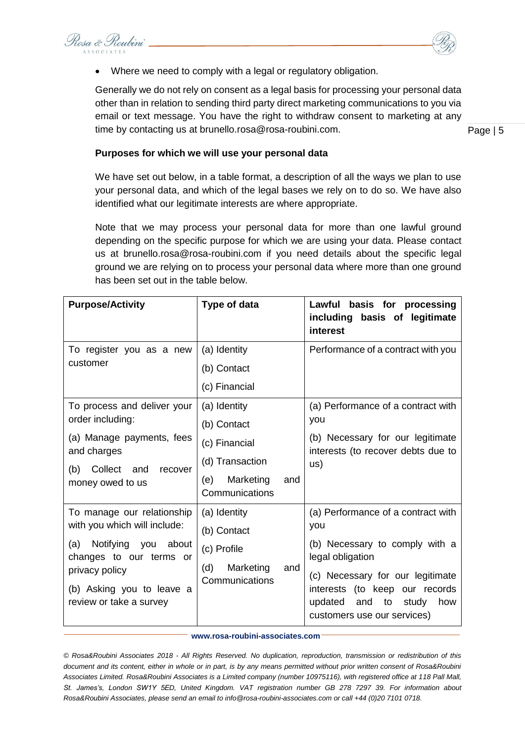Rosa & Roubini



Generally we do not rely on consent as a legal basis for processing your personal data other than in relation to sending third party direct marketing communications to you via email or text message. You have the right to withdraw consent to marketing at any time by contacting us at brunello.rosa@rosa-roubini.com.

Page | 5

### **Purposes for which we will use your personal data**

We have set out below, in a table format, a description of all the ways we plan to use your personal data, and which of the legal bases we rely on to do so. We have also identified what our legitimate interests are where appropriate.

Note that we may process your personal data for more than one lawful ground depending on the specific purpose for which we are using your data. Please contact us at brunello.rosa@rosa-roubini.com if you need details about the specific legal ground we are relying on to process your personal data where more than one ground has been set out in the table below.

| <b>Purpose/Activity</b>                                                                                                                                                                       | Type of data                                                                                                 | Lawful<br>basis for processing<br>including basis of legitimate<br>interest                                                                                                                                                                  |
|-----------------------------------------------------------------------------------------------------------------------------------------------------------------------------------------------|--------------------------------------------------------------------------------------------------------------|----------------------------------------------------------------------------------------------------------------------------------------------------------------------------------------------------------------------------------------------|
| To register you as a new<br>customer                                                                                                                                                          | (a) Identity<br>(b) Contact<br>(c) Financial                                                                 | Performance of a contract with you                                                                                                                                                                                                           |
| To process and deliver your<br>order including:<br>(a) Manage payments, fees<br>and charges<br>(b)<br>Collect and<br>recover<br>money owed to us                                              | (a) Identity<br>(b) Contact<br>(c) Financial<br>(d) Transaction<br>Marketing<br>(e)<br>and<br>Communications | (a) Performance of a contract with<br>you<br>(b) Necessary for our legitimate<br>interests (to recover debts due to<br>us)                                                                                                                   |
| To manage our relationship<br>with you which will include:<br>(a) Notifying you<br>about<br>changes to our terms or<br>privacy policy<br>(b) Asking you to leave a<br>review or take a survey | (a) Identity<br>(b) Contact<br>(c) Profile<br>Marketing<br>(d)<br>and<br>Communications                      | (a) Performance of a contract with<br>you<br>(b) Necessary to comply with a<br>legal obligation<br>(c) Necessary for our legitimate<br>interests (to keep our records<br>updated<br>how<br>and<br>study<br>to<br>customers use our services) |

**www.rosa-roubini-associates.com**

*© Rosa&Roubini Associates 2018 - All Rights Reserved. No duplication, reproduction, transmission or redistribution of this document and its content, either in whole or in part, is by any means permitted without prior written consent of Rosa&Roubini Associates Limited. Rosa&Roubini Associates is a Limited company (number 10975116), with registered office at 118 Pall Mall, St. James's, London SW1Y 5ED, United Kingdom. VAT registration number GB 278 7297 39. For information about Rosa&Roubini Associates, please send an email to info@rosa-roubini-associates.com or call +44 (0)20 7101 0718.*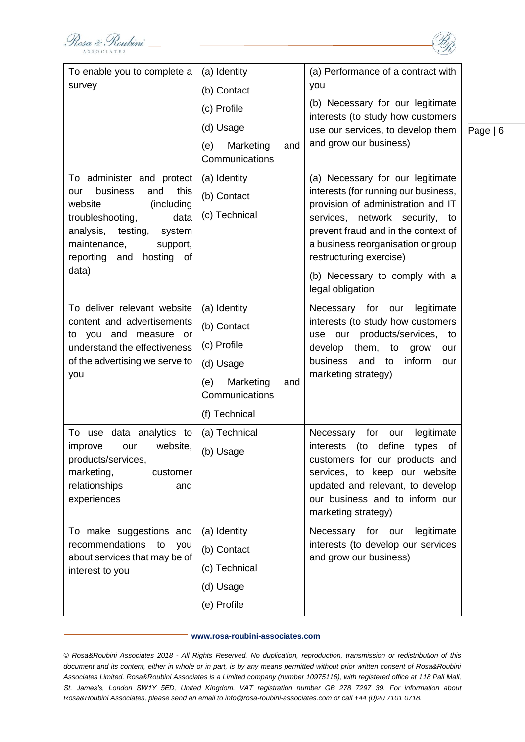| To enable you to complete a<br>survey                                                                                                                                                                                | (a) Identity<br>(b) Contact<br>(c) Profile<br>(d) Usage<br>Marketing<br>(e)<br>and<br>Communications                  | (a) Performance of a contract with<br>you<br>(b) Necessary for our legitimate<br>interests (to study how customers<br>use our services, to develop them<br>and grow our business)                                                                                                                              | Pa |
|----------------------------------------------------------------------------------------------------------------------------------------------------------------------------------------------------------------------|-----------------------------------------------------------------------------------------------------------------------|----------------------------------------------------------------------------------------------------------------------------------------------------------------------------------------------------------------------------------------------------------------------------------------------------------------|----|
| To administer and protect<br>business<br>and<br>this<br>our<br>(including<br>website<br>data<br>troubleshooting,<br>analysis, testing,<br>system<br>maintenance,<br>support,<br>reporting and<br>hosting of<br>data) | (a) Identity<br>(b) Contact<br>(c) Technical                                                                          | (a) Necessary for our legitimate<br>interests (for running our business,<br>provision of administration and IT<br>services, network security, to<br>prevent fraud and in the context of<br>a business reorganisation or group<br>restructuring exercise)<br>(b) Necessary to comply with a<br>legal obligation |    |
| To deliver relevant website<br>content and advertisements<br>to you and measure<br>or<br>understand the effectiveness<br>of the advertising we serve to<br>you                                                       | (a) Identity<br>(b) Contact<br>(c) Profile<br>(d) Usage<br>Marketing<br>(e)<br>and<br>Communications<br>(f) Technical | Necessary<br>legitimate<br>for<br>our<br>interests (to study how customers<br>our products/services,<br>use<br>to<br>develop<br>them,<br>to<br>grow<br>our<br>business<br>inform<br>and<br>to<br>our<br>marketing strategy)                                                                                    |    |
| To use data analytics to<br>website,<br>improve<br>our<br>products/services,<br>marketing,<br>customer<br>relationships<br>and<br>experiences                                                                        | (a) Technical<br>(b) Usage                                                                                            | for<br>Necessary<br>legitimate<br>our<br>interests (to define<br>types<br>of<br>customers for our products and<br>services, to keep our website<br>updated and relevant, to develop<br>our business and to inform our<br>marketing strategy)                                                                   |    |
| To make suggestions and<br>recommendations<br>to<br>you<br>about services that may be of<br>interest to you                                                                                                          | (a) Identity<br>(b) Contact<br>(c) Technical<br>(d) Usage<br>(e) Profile                                              | Necessary for<br>legitimate<br>our<br>interests (to develop our services<br>and grow our business)                                                                                                                                                                                                             |    |

#### **www.rosa-roubini-associates.com**

*© Rosa&Roubini Associates 2018 - All Rights Reserved. No duplication, reproduction, transmission or redistribution of this document and its content, either in whole or in part, is by any means permitted without prior written consent of Rosa&Roubini Associates Limited. Rosa&Roubini Associates is a Limited company (number 10975116), with registered office at 118 Pall Mall, St. James's, London SW1Y 5ED, United Kingdom. VAT registration number GB 278 7297 39. For information about Rosa&Roubini Associates, please send an email to info@rosa-roubini-associates.com or call +44 (0)20 7101 0718.*

 $ge | 6$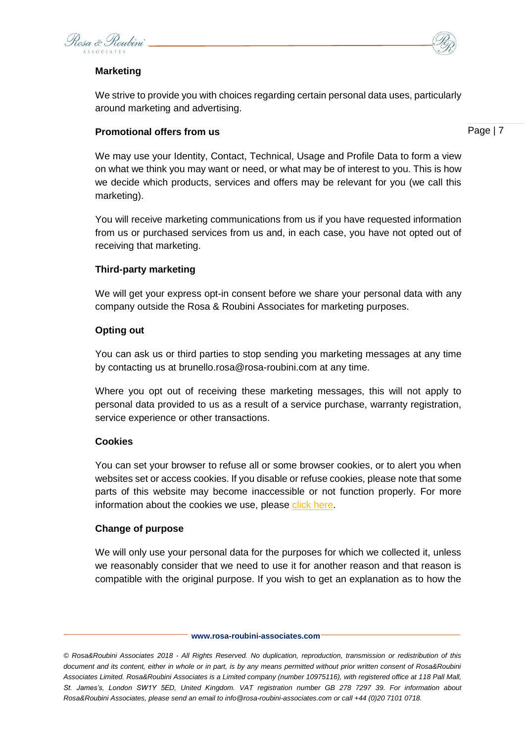Rosa & Roubini



### **Marketing**

We strive to provide you with choices regarding certain personal data uses, particularly around marketing and advertising.

#### **Promotional offers from us**

Page | 7

We may use your Identity, Contact, Technical, Usage and Profile Data to form a view on what we think you may want or need, or what may be of interest to you. This is how we decide which products, services and offers may be relevant for you (we call this marketing).

You will receive marketing communications from us if you have requested information from us or purchased services from us and, in each case, you have not opted out of receiving that marketing.

# **Third-party marketing**

We will get your express opt-in consent before we share your personal data with any company outside the Rosa & Roubini Associates for marketing purposes.

# **Opting out**

You can ask us or third parties to stop sending you marketing messages at any time by contacting us at brunello.rosa@rosa-roubini.com at any time.

Where you opt out of receiving these marketing messages, this will not apply to personal data provided to us as a result of a service purchase, warranty registration, service experience or other transactions.

# **Cookies**

You can set your browser to refuse all or some browser cookies, or to alert you when websites set or access cookies. If you disable or refuse cookies, please note that some parts of this website may become inaccessible or not function properly. For more information about the cookies we use, please click [here.](http://content.rosa-roubini-associates.com/rosa-roubini-associates-cookie-policy/)

# **Change of purpose**

We will only use your personal data for the purposes for which we collected it, unless we reasonably consider that we need to use it for another reason and that reason is compatible with the original purpose. If you wish to get an explanation as to how the

*<sup>©</sup> Rosa&Roubini Associates 2018 - All Rights Reserved. No duplication, reproduction, transmission or redistribution of this document and its content, either in whole or in part, is by any means permitted without prior written consent of Rosa&Roubini Associates Limited. Rosa&Roubini Associates is a Limited company (number 10975116), with registered office at 118 Pall Mall, St. James's, London SW1Y 5ED, United Kingdom. VAT registration number GB 278 7297 39. For information about Rosa&Roubini Associates, please send an email to info@rosa-roubini-associates.com or call +44 (0)20 7101 0718.*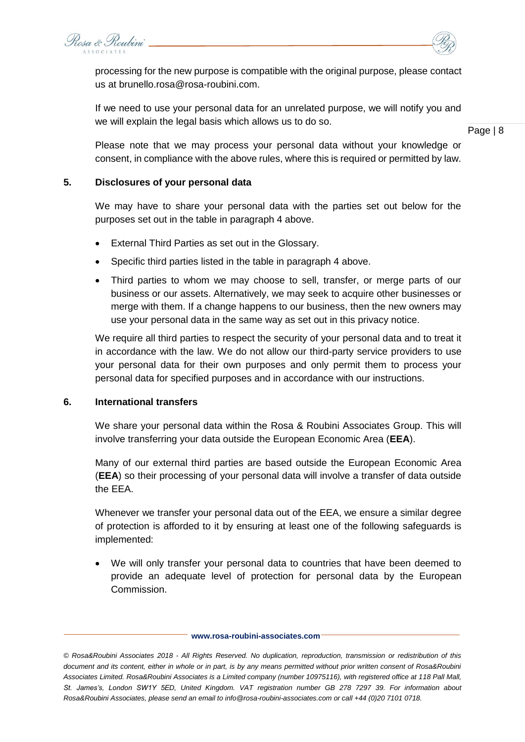Rosa & Roubini



processing for the new purpose is compatible with the original purpose, please contact us at brunello.rosa@rosa-roubini.com.

If we need to use your personal data for an unrelated purpose, we will notify you and we will explain the legal basis which allows us to do so.

Please note that we may process your personal data without your knowledge or consent, in compliance with the above rules, where this is required or permitted by law.

### **5. Disclosures of your personal data**

We may have to share your personal data with the parties set out below for the purposes set out in the table in paragraph 4 above.

- External Third Parties as set out in the Glossary.
- Specific third parties listed in the table in paragraph 4 above.
- Third parties to whom we may choose to sell, transfer, or merge parts of our business or our assets. Alternatively, we may seek to acquire other businesses or merge with them. If a change happens to our business, then the new owners may use your personal data in the same way as set out in this privacy notice.

We require all third parties to respect the security of your personal data and to treat it in accordance with the law. We do not allow our third-party service providers to use your personal data for their own purposes and only permit them to process your personal data for specified purposes and in accordance with our instructions.

#### **6. International transfers**

We share your personal data within the Rosa & Roubini Associates Group. This will involve transferring your data outside the European Economic Area (**EEA**).

Many of our external third parties are based outside the European Economic Area (**EEA**) so their processing of your personal data will involve a transfer of data outside the EEA.

Whenever we transfer your personal data out of the EEA, we ensure a similar degree of protection is afforded to it by ensuring at least one of the following safeguards is implemented:

We will only transfer your personal data to countries that have been deemed to provide an adequate level of protection for personal data by the European Commission.

*<sup>©</sup> Rosa&Roubini Associates 2018 - All Rights Reserved. No duplication, reproduction, transmission or redistribution of this document and its content, either in whole or in part, is by any means permitted without prior written consent of Rosa&Roubini Associates Limited. Rosa&Roubini Associates is a Limited company (number 10975116), with registered office at 118 Pall Mall, St. James's, London SW1Y 5ED, United Kingdom. VAT registration number GB 278 7297 39. For information about Rosa&Roubini Associates, please send an email to info@rosa-roubini-associates.com or call +44 (0)20 7101 0718.*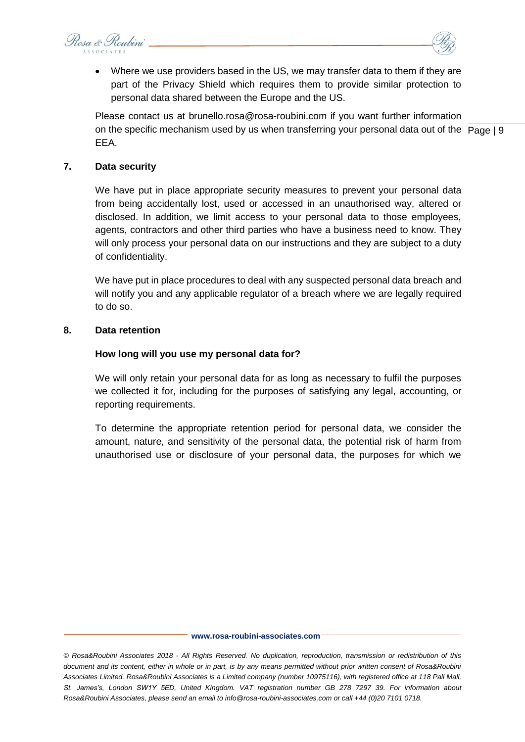Rosa & Roubini



on the specific mechanism used by us when transferring your personal data out of the Page | 9 Please contact us at brunello.rosa@rosa-roubini.com if you want further information EEA.

### **7. Data security**

We have put in place appropriate security measures to prevent your personal data from being accidentally lost, used or accessed in an unauthorised way, altered or disclosed. In addition, we limit access to your personal data to those employees, agents, contractors and other third parties who have a business need to know. They will only process your personal data on our instructions and they are subject to a duty of confidentiality.

We have put in place procedures to deal with any suspected personal data breach and will notify you and any applicable regulator of a breach where we are legally required to do so.

### **8. Data retention**

### **How long will you use my personal data for?**

We will only retain your personal data for as long as necessary to fulfil the purposes we collected it for, including for the purposes of satisfying any legal, accounting, or reporting requirements.

To determine the appropriate retention period for personal data, we consider the amount, nature, and sensitivity of the personal data, the potential risk of harm from unauthorised use or disclosure of your personal data, the purposes for which we

*<sup>©</sup> Rosa&Roubini Associates 2018 - All Rights Reserved. No duplication, reproduction, transmission or redistribution of this document and its content, either in whole or in part, is by any means permitted without prior written consent of Rosa&Roubini Associates Limited. Rosa&Roubini Associates is a Limited company (number 10975116), with registered office at 118 Pall Mall, St. James's, London SW1Y 5ED, United Kingdom. VAT registration number GB 278 7297 39. For information about Rosa&Roubini Associates, please send an email to info@rosa-roubini-associates.com or call +44 (0)20 7101 0718.*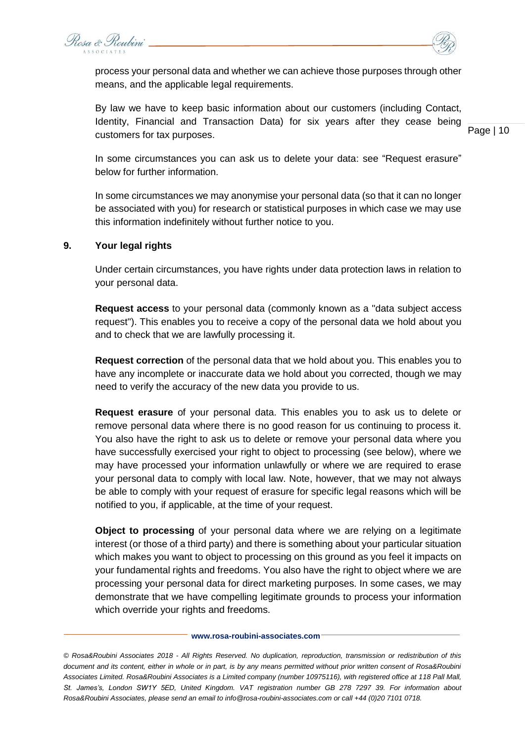

process your personal data and whether we can achieve those purposes through other means, and the applicable legal requirements.

By law we have to keep basic information about our customers (including Contact, Identity, Financial and Transaction Data) for six years after they cease being customers for tax purposes.

Page | 10

In some circumstances you can ask us to delete your data: see "Request erasure" below for further information.

In some circumstances we may anonymise your personal data (so that it can no longer be associated with you) for research or statistical purposes in which case we may use this information indefinitely without further notice to you.

### **9. Your legal rights**

Under certain circumstances, you have rights under data protection laws in relation to your personal data.

**Request access** to your personal data (commonly known as a "data subject access request"). This enables you to receive a copy of the personal data we hold about you and to check that we are lawfully processing it.

**Request correction** of the personal data that we hold about you. This enables you to have any incomplete or inaccurate data we hold about you corrected, though we may need to verify the accuracy of the new data you provide to us.

**Request erasure** of your personal data. This enables you to ask us to delete or remove personal data where there is no good reason for us continuing to process it. You also have the right to ask us to delete or remove your personal data where you have successfully exercised your right to object to processing (see below), where we may have processed your information unlawfully or where we are required to erase your personal data to comply with local law. Note, however, that we may not always be able to comply with your request of erasure for specific legal reasons which will be notified to you, if applicable, at the time of your request.

**Object to processing** of your personal data where we are relying on a legitimate interest (or those of a third party) and there is something about your particular situation which makes you want to object to processing on this ground as you feel it impacts on your fundamental rights and freedoms. You also have the right to object where we are processing your personal data for direct marketing purposes. In some cases, we may demonstrate that we have compelling legitimate grounds to process your information which override your rights and freedoms.

*<sup>©</sup> Rosa&Roubini Associates 2018 - All Rights Reserved. No duplication, reproduction, transmission or redistribution of this document and its content, either in whole or in part, is by any means permitted without prior written consent of Rosa&Roubini Associates Limited. Rosa&Roubini Associates is a Limited company (number 10975116), with registered office at 118 Pall Mall, St. James's, London SW1Y 5ED, United Kingdom. VAT registration number GB 278 7297 39. For information about Rosa&Roubini Associates, please send an email to info@rosa-roubini-associates.com or call +44 (0)20 7101 0718.*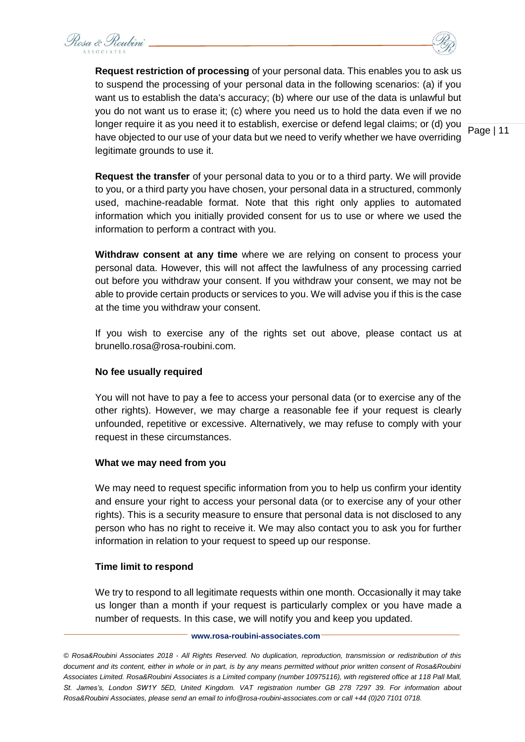Rosa & Roubini



**Request the transfer** of your personal data to you or to a third party. We will provide to you, or a third party you have chosen, your personal data in a structured, commonly used, machine-readable format. Note that this right only applies to automated information which you initially provided consent for us to use or where we used the information to perform a contract with you.

**Withdraw consent at any time** where we are relying on consent to process your personal data. However, this will not affect the lawfulness of any processing carried out before you withdraw your consent. If you withdraw your consent, we may not be able to provide certain products or services to you. We will advise you if this is the case at the time you withdraw your consent.

If you wish to exercise any of the rights set out above, please contact us at brunello.rosa@rosa-roubini.com.

#### **No fee usually required**

You will not have to pay a fee to access your personal data (or to exercise any of the other rights). However, we may charge a reasonable fee if your request is clearly unfounded, repetitive or excessive. Alternatively, we may refuse to comply with your request in these circumstances.

#### **What we may need from you**

We may need to request specific information from you to help us confirm your identity and ensure your right to access your personal data (or to exercise any of your other rights). This is a security measure to ensure that personal data is not disclosed to any person who has no right to receive it. We may also contact you to ask you for further information in relation to your request to speed up our response.

# **Time limit to respond**

We try to respond to all legitimate requests within one month. Occasionally it may take us longer than a month if your request is particularly complex or you have made a number of requests. In this case, we will notify you and keep you updated.

#### **www.rosa-roubini-associates.com**

Page | 11



*<sup>©</sup> Rosa&Roubini Associates 2018 - All Rights Reserved. No duplication, reproduction, transmission or redistribution of this document and its content, either in whole or in part, is by any means permitted without prior written consent of Rosa&Roubini Associates Limited. Rosa&Roubini Associates is a Limited company (number 10975116), with registered office at 118 Pall Mall, St. James's, London SW1Y 5ED, United Kingdom. VAT registration number GB 278 7297 39. For information about Rosa&Roubini Associates, please send an email to info@rosa-roubini-associates.com or call +44 (0)20 7101 0718.*